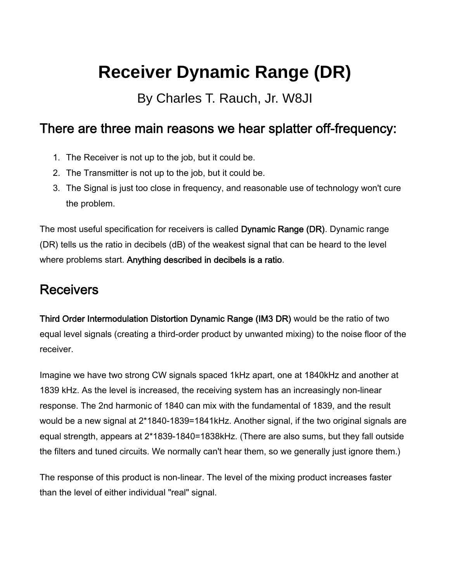# **Receiver Dynamic Range (DR)**

By Charles T. Rauch, Jr. W8JI

#### There are three main reasons we hear splatter off-frequency:

- 1. The Receiver is not up to the job, but it could be.
- 2. The Transmitter is not up to the job, but it could be.
- 3. The Signal is just too close in frequency, and reasonable use of technology won't cure the problem.

The most useful specification for receivers is called Dynamic Range (DR). Dynamic range (DR) tells us the ratio in decibels (dB) of the weakest signal that can be heard to the level where problems start. Anything described in decibels is a ratio.

### **Receivers**

Third Order Intermodulation Distortion Dynamic Range (IM3 DR) would be the ratio of two equal level signals (creating a third-order product by unwanted mixing) to the noise floor of the receiver.

Imagine we have two strong CW signals spaced 1kHz apart, one at 1840kHz and another at 1839 kHz. As the level is increased, the receiving system has an increasingly non-linear response. The 2nd harmonic of 1840 can mix with the fundamental of 1839, and the result would be a new signal at 2\*1840-1839=1841kHz. Another signal, if the two original signals are equal strength, appears at 2\*1839-1840=1838kHz. (There are also sums, but they fall outside the filters and tuned circuits. We normally can't hear them, so we generally just ignore them.)

The response of this product is non-linear. The level of the mixing product increases faster than the level of either individual "real" signal.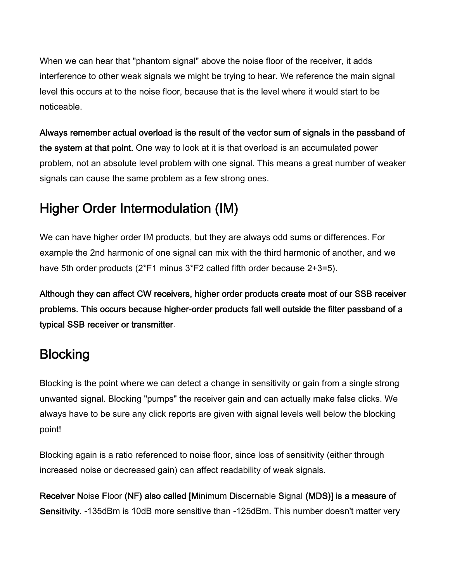When we can hear that "phantom signal" above the noise floor of the receiver, it adds interference to other weak signals we might be trying to hear. We reference the main signal level this occurs at to the noise floor, because that is the level where it would start to be noticeable.

Always remember actual overload is the result of the vector sum of signals in the passband of the system at that point. One way to look at it is that overload is an accumulated power problem, not an absolute level problem with one signal. This means a great number of weaker signals can cause the same problem as a few strong ones.

## Higher Order Intermodulation (IM)

We can have higher order IM products, but they are always odd sums or differences. For example the 2nd harmonic of one signal can mix with the third harmonic of another, and we have 5th order products (2\*F1 minus 3\*F2 called fifth order because 2+3=5).

Although they can affect CW receivers, higher order products create most of our SSB receiver problems. This occurs because higher-order products fall well outside the filter passband of a typical SSB receiver or transmitter.

## **Blocking**

Blocking is the point where we can detect a change in sensitivity or gain from a single strong unwanted signal. Blocking "pumps" the receiver gain and can actually make false clicks. We always have to be sure any click reports are given with signal levels well below the blocking point!

Blocking again is a ratio referenced to noise floor, since loss of sensitivity (either through increased noise or decreased gain) can affect readability of weak signals.

Receiver Noise Floor (NF) also called [Minimum Discernable Signal (MDS)] is a measure of Sensitivity. -135dBm is 10dB more sensitive than -125dBm. This number doesn't matter very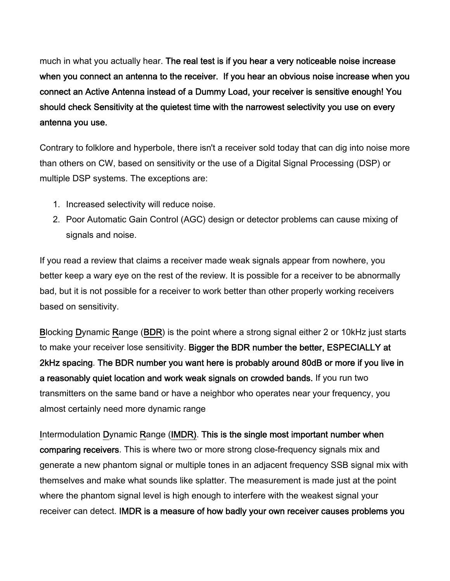much in what you actually hear. The real test is if you hear a very noticeable noise increase when you connect an antenna to the receiver. If you hear an obvious noise increase when you connect an Active Antenna instead of a Dummy Load, your receiver is sensitive enough! You should check Sensitivity at the quietest time with the narrowest selectivity you use on every antenna you use.

Contrary to folklore and hyperbole, there isn't a receiver sold today that can dig into noise more than others on CW, based on sensitivity or the use of a Digital Signal Processing (DSP) or multiple DSP systems. The exceptions are:

- 1. Increased selectivity will reduce noise.
- 2. Poor Automatic Gain Control (AGC) design or detector problems can cause mixing of signals and noise.

If you read a review that claims a receiver made weak signals appear from nowhere, you better keep a wary eye on the rest of the review. It is possible for a receiver to be abnormally bad, but it is not possible for a receiver to work better than other properly working receivers based on sensitivity.

Blocking Dynamic Range (BDR) is the point where a strong signal either 2 or 10kHz just starts to make your receiver lose sensitivity. Bigger the BDR number the better, ESPECIALLY at 2kHz spacing. The BDR number you want here is probably around 80dB or more if you live in a reasonably quiet location and work weak signals on crowded bands. If you run two transmitters on the same band or have a neighbor who operates near your frequency, you almost certainly need more dynamic range

Intermodulation Dynamic Range (IMDR). This is the single most important number when comparing receivers. This is where two or more strong close-frequency signals mix and generate a new phantom signal or multiple tones in an adjacent frequency SSB signal mix with themselves and make what sounds like splatter. The measurement is made just at the point where the phantom signal level is high enough to interfere with the weakest signal your receiver can detect. IMDR is a measure of how badly your own receiver causes problems you